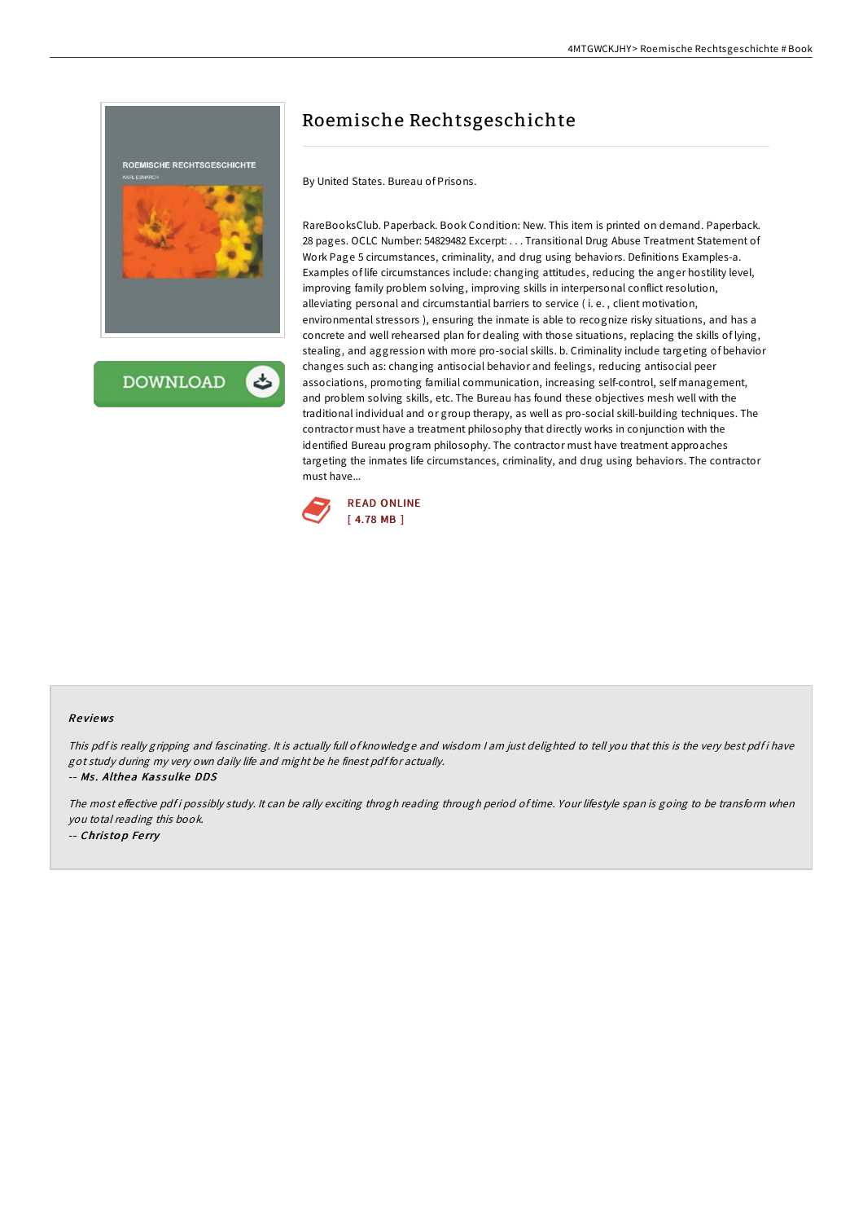

**DOWNLOAD** 

# Roemische Rechtsgeschichte

By United States. Bureau of Prisons.

RareBooksClub. Paperback. Book Condition: New. This item is printed on demand. Paperback. 28 pages. OCLC Number: 54829482 Excerpt: . . . Transitional Drug Abuse Treatment Statement of Work Page 5 circumstances, criminality, and drug using behaviors. Definitions Examples-a. Examples of life circumstances include: changing attitudes, reducing the anger hostility level, improving family problem solving, improving skills in interpersonal conflict resolution, alleviating personal and circumstantial barriers to service ( i. e. , client motivation, environmental stressors ), ensuring the inmate is able to recognize risky situations, and has a concrete and well rehearsed plan for dealing with those situations, replacing the skills of lying, stealing, and aggression with more pro-social skills. b. Criminality include targeting of behavior changes such as: changing antisocial behavior and feelings, reducing antisocial peer associations, promoting familial communication, increasing self-control, self management, and problem solving skills, etc. The Bureau has found these objectives mesh well with the traditional individual and or group therapy, as well as pro-social skill-building techniques. The contractor must have a treatment philosophy that directly works in conjunction with the identified Bureau program philosophy. The contractor must have treatment approaches targeting the inmates life circumstances, criminality, and drug using behaviors. The contractor must have...



#### Re views

This pdf is really gripping and fascinating. It is actually full of knowledge and wisdom I am just delighted to tell you that this is the very best pdf i have got study during my very own daily life and might be he finest pdf for actually. -- Ms. Althea Kassulke DDS

The most effective pdf i possibly study. It can be rally exciting throgh reading through period of time. Your lifestyle span is going to be transform when you total reading this book. -- Christop Ferry